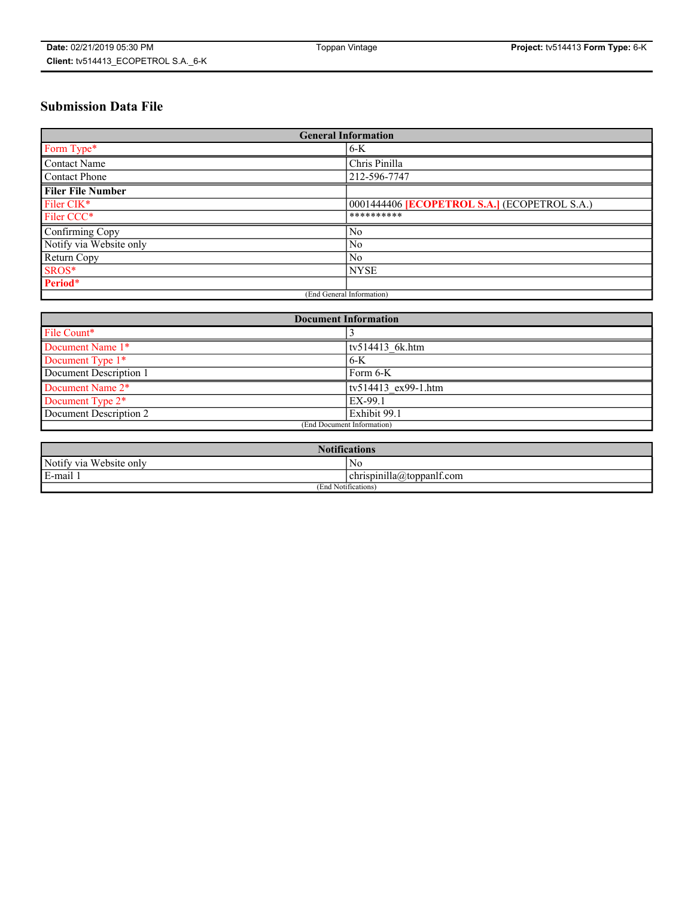# **Submission Data File**

| <b>General Information</b> |                                                     |  |  |  |
|----------------------------|-----------------------------------------------------|--|--|--|
| Form Type*                 | $6 - K$                                             |  |  |  |
| Contact Name               | Chris Pinilla                                       |  |  |  |
| <b>Contact Phone</b>       | 212-596-7747                                        |  |  |  |
| <b>Filer File Number</b>   |                                                     |  |  |  |
| Filer CIK <sup>*</sup>     | 0001444406 <b>[ECOPETROL S.A.]</b> (ECOPETROL S.A.) |  |  |  |
| Filer CCC <sup>*</sup>     | **********                                          |  |  |  |
| Confirming Copy            | No                                                  |  |  |  |
| Notify via Website only    | N <sub>0</sub>                                      |  |  |  |
| Return Copy                | N <sub>0</sub>                                      |  |  |  |
| SROS*                      | <b>NYSE</b>                                         |  |  |  |
| Period*                    |                                                     |  |  |  |
| (End General Information)  |                                                     |  |  |  |

| <b>Document Information</b> |                     |  |  |  |
|-----------------------------|---------------------|--|--|--|
| File Count*                 |                     |  |  |  |
| Document Name 1*            | tv514413 6k.htm     |  |  |  |
| Document Type 1*            | $6-K$               |  |  |  |
| Document Description 1      | Form 6-K            |  |  |  |
| Document Name 2*            | tv514413 ex99-1.htm |  |  |  |
| Document Type 2*            | EX-99.1             |  |  |  |
| Document Description 2      | Exhibit 99.1        |  |  |  |
| (End Document Information)  |                     |  |  |  |

| <b>Notifications</b>       |                                 |  |  |
|----------------------------|---------------------------------|--|--|
| Notify via<br>Website only | N <sub>0</sub>                  |  |  |
| $E$ -mail 1                | <br>chrispinilla(a)toppanif.com |  |  |
| (End Notifications)        |                                 |  |  |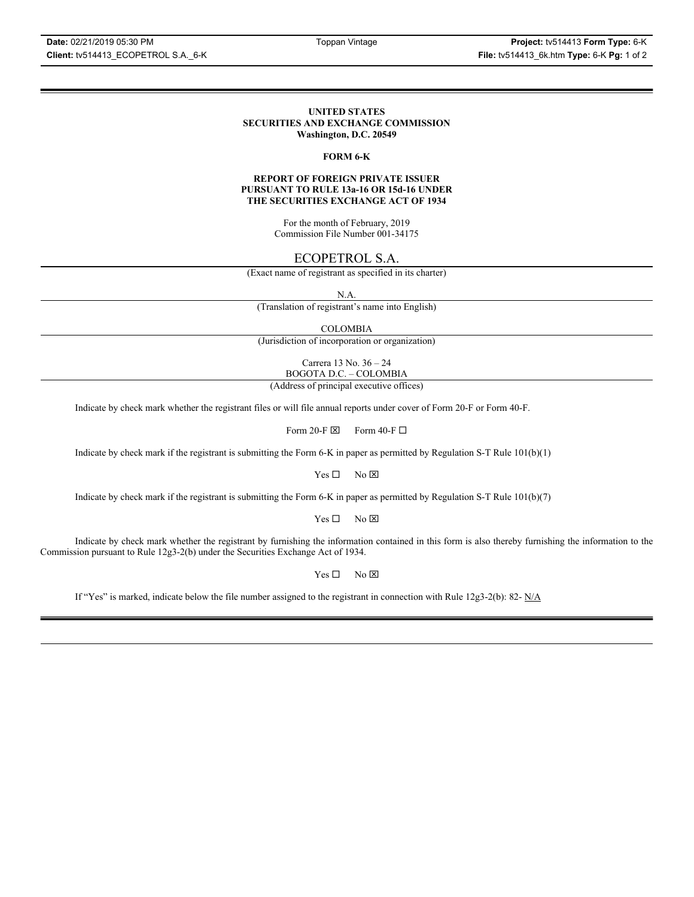#### **UNITED STATES SECURITIES AND EXCHANGE COMMISSION Washington, D.C. 20549**

### **FORM 6-K**

### **REPORT OF FOREIGN PRIVATE ISSUER PURSUANT TO RULE 13a-16 OR 15d-16 UNDER THE SECURITIES EXCHANGE ACT OF 1934**

For the month of February, 2019 Commission File Number 001-34175

### ECOPETROL S.A.

(Exact name of registrant as specified in its charter)

N.A.

(Translation of registrant's name into English)

COLOMBIA

(Jurisdiction of incorporation or organization)

Carrera 13 No. 36 – 24 BOGOTA D.C. – COLOMBIA

(Address of principal executive offices)

Indicate by check mark whether the registrant files or will file annual reports under cover of Form 20-F or Form 40-F.

Form 20-F  $\boxtimes$  Form 40-F  $\Box$ 

Indicate by check mark if the registrant is submitting the Form 6-K in paper as permitted by Regulation S-T Rule 101(b)(1)

 $Yes \Box$  No  $\boxtimes$ 

Indicate by check mark if the registrant is submitting the Form 6-K in paper as permitted by Regulation S-T Rule 101(b)(7)

 $Yes \Box$  No  $\boxtimes$ 

Indicate by check mark whether the registrant by furnishing the information contained in this form is also thereby furnishing the information to the Commission pursuant to Rule 12g3-2(b) under the Securities Exchange Act of 1934.

 $Yes \Box$  No  $\boxtimes$ 

If "Yes" is marked, indicate below the file number assigned to the registrant in connection with Rule 12g3-2(b): 82-  $N/A$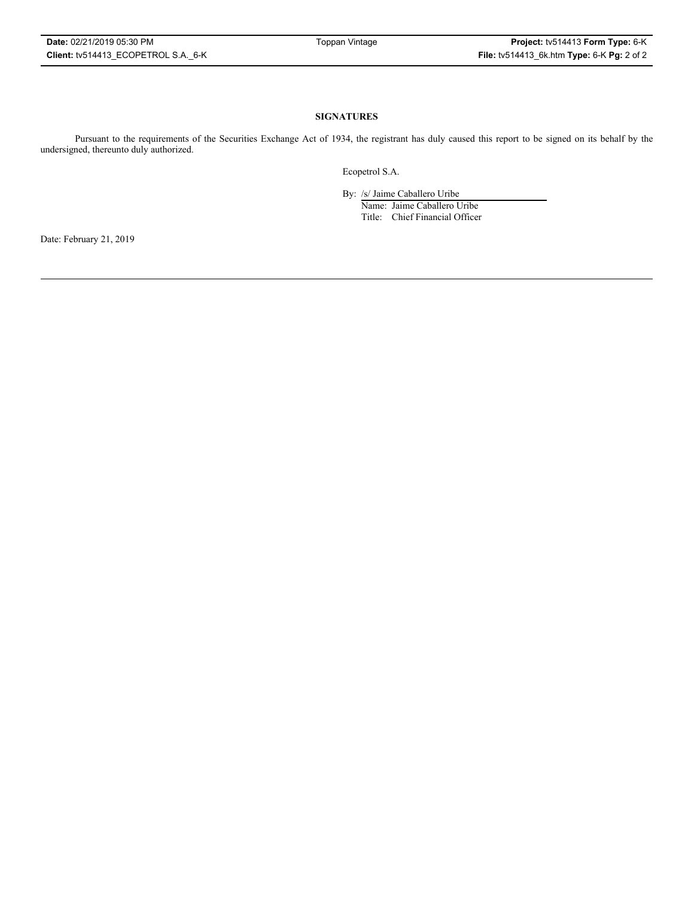### **SIGNATURES**

Pursuant to the requirements of the Securities Exchange Act of 1934, the registrant has duly caused this report to be signed on its behalf by the undersigned, thereunto duly authorized.

Ecopetrol S.A.

By: /s/ Jaime Caballero Uribe

Name: Jaime Caballero Uribe Title: Chief Financial Officer

Date: February 21, 2019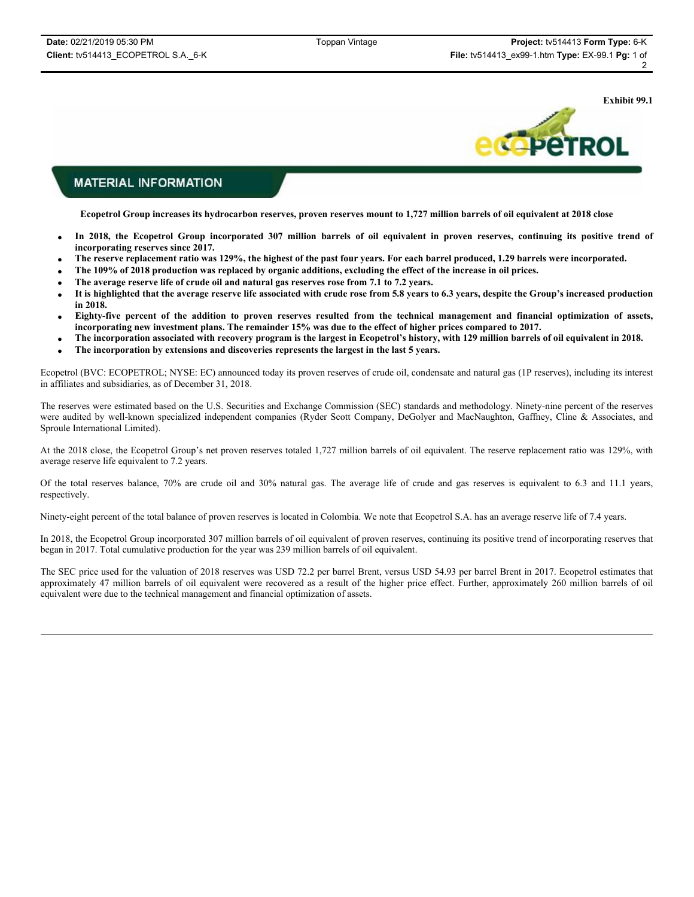**Exhibit 99.1**



### **MATERIAL INFORMATION**

**Ecopetrol Group increases its hydrocarbon reserves, proven reserves mount to 1,727 million barrels of oil equivalent at 2018 close**

- x **In 2018, the Ecopetrol Group incorporated 307 million barrels of oil equivalent in proven reserves, continuing its positive trend of incorporating reserves since 2017.**
- x **The reserve replacement ratio was 129%, the highest of the past four years. For each barrel produced, 1.29 barrels were incorporated.**
- x **The 109% of 2018 production was replaced by organic additions, excluding the effect of the increase in oil prices.**
- The average reserve life of crude oil and natural gas reserves rose from 7.1 to 7.2 years.
- x **It is highlighted that the average reserve life associated with crude rose from 5.8 years to 6.3 years, despite the Group's increased production in 2018.**
- x **Eighty-five percent of the addition to proven reserves resulted from the technical management and financial optimization of assets, incorporating new investment plans. The remainder 15% was due to the effect of higher prices compared to 2017.**
- x **The incorporation associated with recovery program is the largest in Ecopetrol's history, with 129 million barrels of oil equivalent in 2018.**
- x **The incorporation by extensions and discoveries represents the largest in the last 5 years.**

Ecopetrol (BVC: ECOPETROL; NYSE: EC) announced today its proven reserves of crude oil, condensate and natural gas (1P reserves), including its interest in affiliates and subsidiaries, as of December 31, 2018.

The reserves were estimated based on the U.S. Securities and Exchange Commission (SEC) standards and methodology. Ninety-nine percent of the reserves were audited by well-known specialized independent companies (Ryder Scott Company, DeGolyer and MacNaughton, Gaffney, Cline & Associates, and Sproule International Limited).

At the 2018 close, the Ecopetrol Group's net proven reserves totaled 1,727 million barrels of oil equivalent. The reserve replacement ratio was 129%, with average reserve life equivalent to 7.2 years.

Of the total reserves balance, 70% are crude oil and 30% natural gas. The average life of crude and gas reserves is equivalent to 6.3 and 11.1 years, respectively.

Ninety-eight percent of the total balance of proven reserves is located in Colombia. We note that Ecopetrol S.A. has an average reserve life of 7.4 years.

In 2018, the Ecopetrol Group incorporated 307 million barrels of oil equivalent of proven reserves, continuing its positive trend of incorporating reserves that began in 2017. Total cumulative production for the year was 239 million barrels of oil equivalent.

The SEC price used for the valuation of 2018 reserves was USD 72.2 per barrel Brent, versus USD 54.93 per barrel Brent in 2017. Ecopetrol estimates that approximately 47 million barrels of oil equivalent were recovered as a result of the higher price effect. Further, approximately 260 million barrels of oil equivalent were due to the technical management and financial optimization of assets.